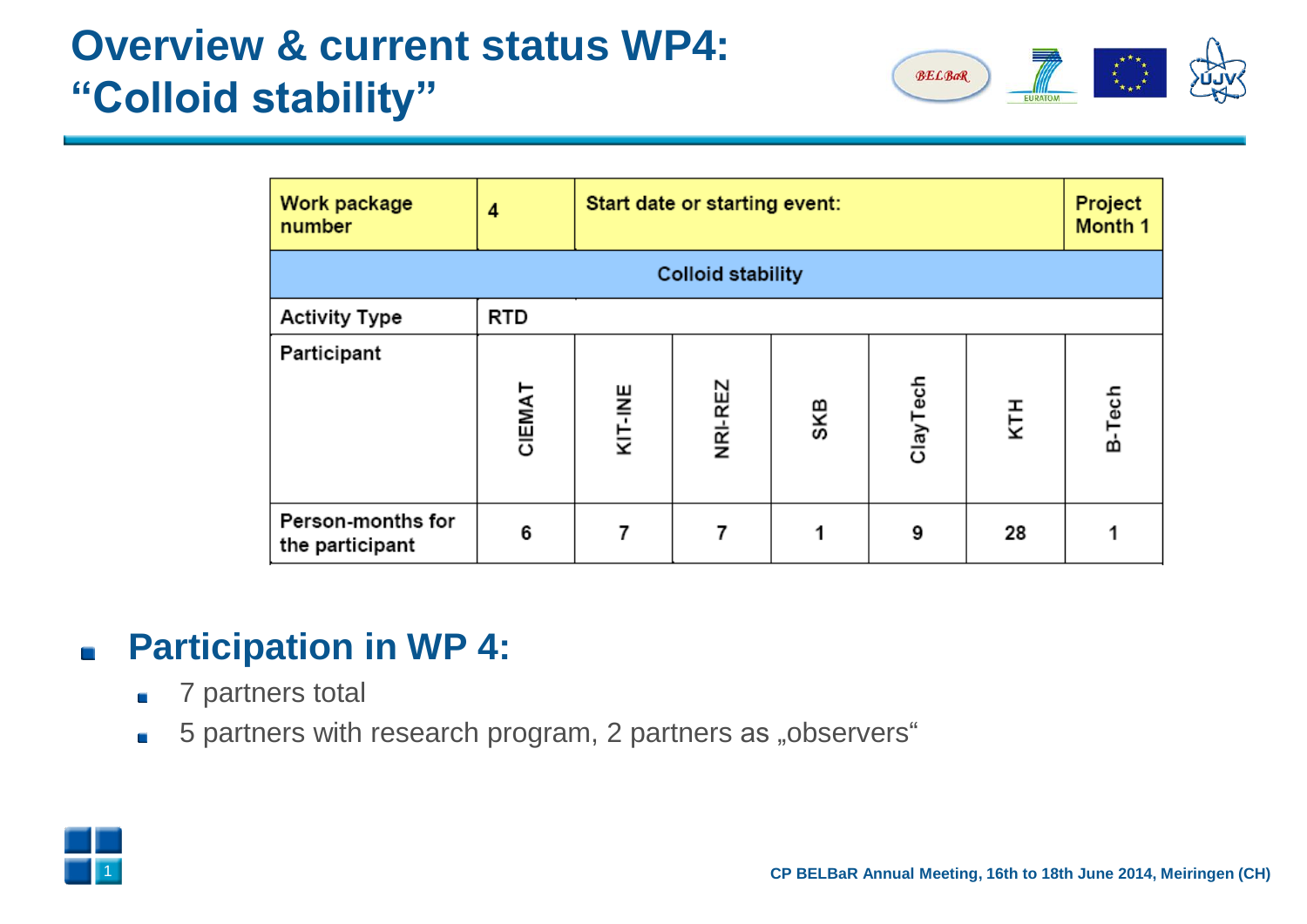

| Work package<br>number               | 4          | Start date or starting event: | Project<br>Month 1 |     |          |     |        |  |  |  |
|--------------------------------------|------------|-------------------------------|--------------------|-----|----------|-----|--------|--|--|--|
| <b>Colloid stability</b>             |            |                               |                    |     |          |     |        |  |  |  |
| <b>Activity Type</b>                 | <b>RTD</b> |                               |                    |     |          |     |        |  |  |  |
| Participant                          | CIEMAT     | KIT-INE                       | NRI-REZ            | SKB | ClayTech | KTH | B-Tech |  |  |  |
| Person-months for<br>the participant | 6          |                               |                    |     | 9        | 28  |        |  |  |  |

#### **Participation in WP 4:**  $\blacksquare$

- 7 partners total  $\blacksquare$
- 5 partners with research program, 2 partners as "observers"  $\overline{\phantom{a}}$

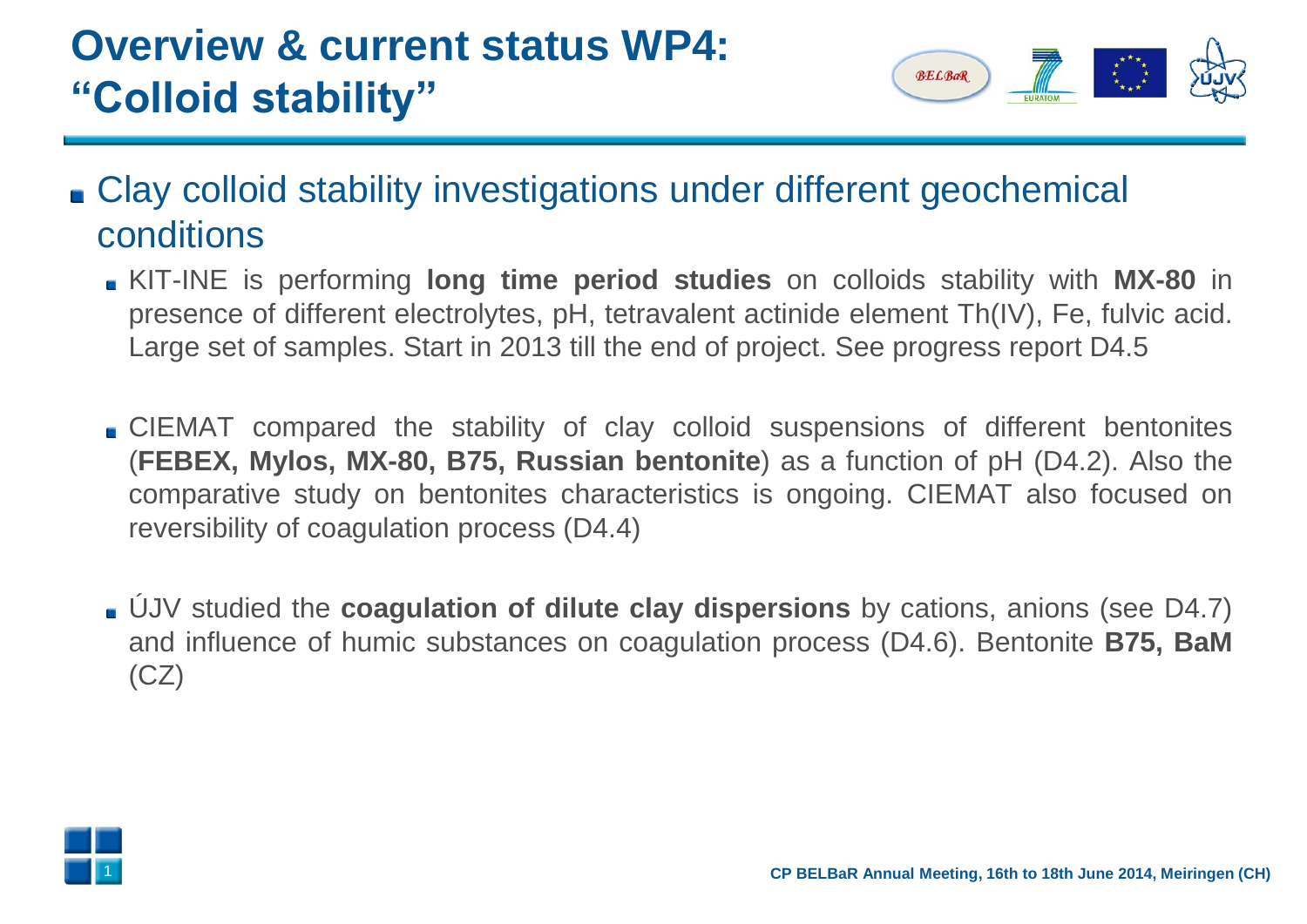

- Clay colloid stability investigations under different geochemical conditions
	- KIT-INE is performing **long time period studies** on colloids stability with **MX-80** in presence of different electrolytes, pH, tetravalent actinide element Th(IV), Fe, fulvic acid. Large set of samples. Start in 2013 till the end of project. See progress report D4.5
	- CIEMAT compared the stability of clay colloid suspensions of different bentonites (**FEBEX, Mylos, MX-80, B75, Russian bentonite**) as a function of pH (D4.2). Also the comparative study on bentonites characteristics is ongoing. CIEMAT also focused on reversibility of coagulation process (D4.4)
	- ÚJV studied the **coagulation of dilute clay dispersions** by cations, anions (see D4.7) and influence of humic substances on coagulation process (D4.6). Bentonite **B75, BaM**  $(CZ)$

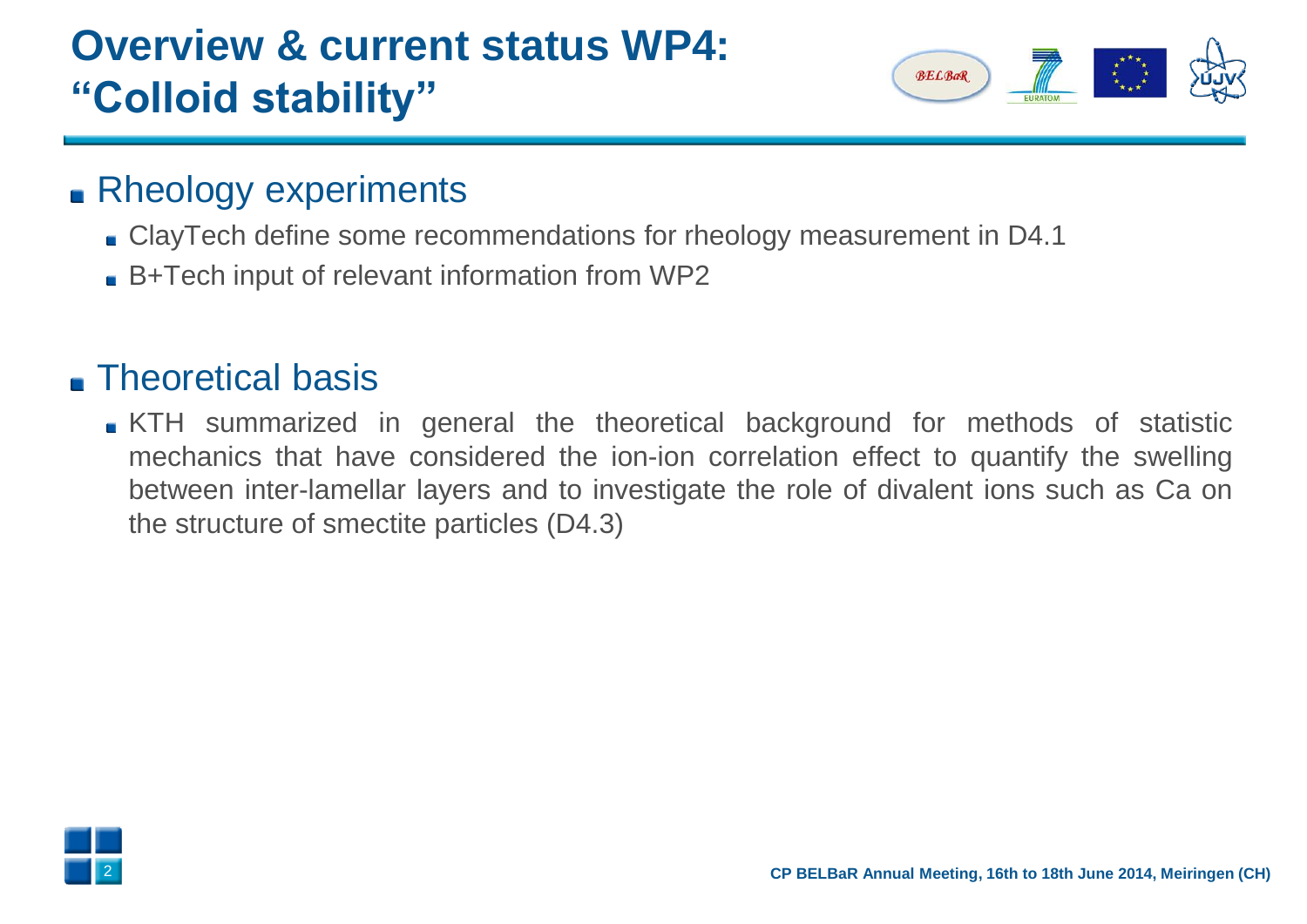

### **Rheology experiments**

- ClayTech define some recommendations for rheology measurement in D4.1
- B+Tech input of relevant information from WP2

## **Theoretical basis**

KTH summarized in general the theoretical background for methods of statistic mechanics that have considered the ion-ion correlation effect to quantify the swelling between inter-lamellar layers and to investigate the role of divalent ions such as Ca on the structure of smectite particles (D4.3)